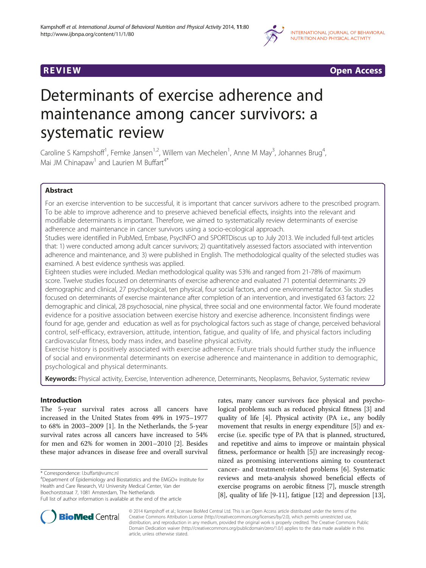

**REVIEW CONSTRUCTION CONSTRUCTION CONSTRUCTS** 

# Determinants of exercise adherence and maintenance among cancer survivors: a systematic review

Caroline S Kampshoff<sup>1</sup>, Femke Jansen<sup>1,2</sup>, Willem van Mechelen<sup>1</sup>, Anne M May<sup>3</sup>, Johannes Brug<sup>4</sup> , Mai JM Chinapaw<sup>1</sup> and Laurien M Buffart<sup>4\*</sup>

## Abstract

For an exercise intervention to be successful, it is important that cancer survivors adhere to the prescribed program. To be able to improve adherence and to preserve achieved beneficial effects, insights into the relevant and modifiable determinants is important. Therefore, we aimed to systematically review determinants of exercise adherence and maintenance in cancer survivors using a socio-ecological approach.

Studies were identified in PubMed, Embase, PsycINFO and SPORTDiscus up to July 2013. We included full-text articles that: 1) were conducted among adult cancer survivors; 2) quantitatively assessed factors associated with intervention adherence and maintenance, and 3) were published in English. The methodological quality of the selected studies was examined. A best evidence synthesis was applied.

Eighteen studies were included. Median methodological quality was 53% and ranged from 21-78% of maximum score. Twelve studies focused on determinants of exercise adherence and evaluated 71 potential determinants: 29 demographic and clinical, 27 psychological, ten physical, four social factors, and one environmental factor. Six studies focused on determinants of exercise maintenance after completion of an intervention, and investigated 63 factors: 22 demographic and clinical, 28 psychosocial, nine physical, three social and one environmental factor. We found moderate evidence for a positive association between exercise history and exercise adherence. Inconsistent findings were found for age, gender and education as well as for psychological factors such as stage of change, perceived behavioral control, self-efficacy, extraversion, attitude, intention, fatigue, and quality of life, and physical factors including cardiovascular fitness, body mass index, and baseline physical activity.

Exercise history is positively associated with exercise adherence. Future trials should further study the influence of social and environmental determinants on exercise adherence and maintenance in addition to demographic, psychological and physical determinants.

Keywords: Physical activity, Exercise, Intervention adherence, Determinants, Neoplasms, Behavior, Systematic review

## Introduction

The 5-year survival rates across all cancers have increased in the United States from 49% in 1975–1977 to 68% in 2003–2009 [\[1](#page-11-0)]. In the Netherlands, the 5-year survival rates across all cancers have increased to 54% for men and 62% for women in 2001–2010 [[2](#page-11-0)]. Besides these major advances in disease free and overall survival

\* Correspondence: [l.buffart@vumc.nl](mailto:l.buffart@vumc.nl) <sup>4</sup>

Department of Epidemiology and Biostatistics and the EMGO+ Institute for Health and Care Research, VU University Medical Center, Van der Boechorststraat 7, 1081 Amsterdam, The Netherlands

rates, many cancer survivors face physical and psychological problems such as reduced physical fitness [\[3](#page-11-0)] and quality of life [\[4](#page-11-0)]. Physical activity (PA i.e., any bodily movement that results in energy expenditure [[5\]](#page-11-0)) and exercise (i.e. specific type of PA that is planned, structured, and repetitive and aims to improve or maintain physical fitness, performance or health [[5](#page-11-0)]) are increasingly recognized as promising interventions aiming to counteract cancer- and treatment-related problems [[6](#page-11-0)]. Systematic reviews and meta-analysis showed beneficial effects of exercise programs on aerobic fitness [\[7](#page-11-0)], muscle strength [[8\]](#page-11-0), quality of life [\[9-11\]](#page-11-0), fatigue [[12](#page-11-0)] and depression [[13](#page-11-0)],



© 2014 Kampshoff et al.; licensee BioMed Central Ltd. This is an Open Access article distributed under the terms of the Creative Commons Attribution License (<http://creativecommons.org/licenses/by/2.0>), which permits unrestricted use, distribution, and reproduction in any medium, provided the original work is properly credited. The Creative Commons Public Domain Dedication waiver [\(http://creativecommons.org/publicdomain/zero/1.0/\)](http://creativecommons.org/publicdomain/zero/1.0/) applies to the data made available in this article, unless otherwise stated.

Full list of author information is available at the end of the article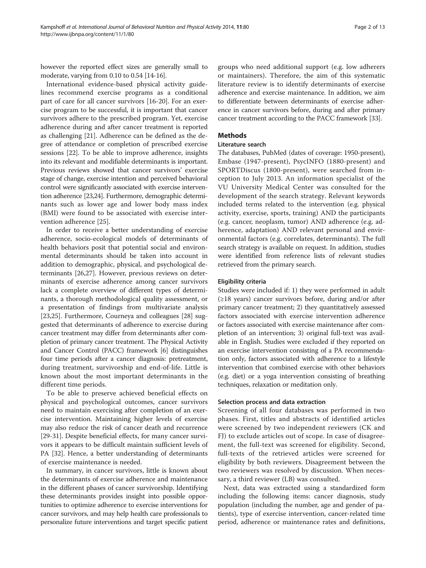however the reported effect sizes are generally small to moderate, varying from 0.10 to 0.54 [\[14-16](#page-11-0)].

International evidence-based physical activity guidelines recommend exercise programs as a conditional part of care for all cancer survivors [\[16](#page-11-0)-[20](#page-11-0)]. For an exercise program to be successful, it is important that cancer survivors adhere to the prescribed program. Yet, exercise adherence during and after cancer treatment is reported as challenging [[21\]](#page-11-0). Adherence can be defined as the degree of attendance or completion of prescribed exercise sessions [\[22\]](#page-11-0). To be able to improve adherence, insights into its relevant and modifiable determinants is important. Previous reviews showed that cancer survivors' exercise stage of change, exercise intention and perceived behavioral control were significantly associated with exercise intervention adherence [\[23,24](#page-11-0)]. Furthermore, demographic determinants such as lower age and lower body mass index (BMI) were found to be associated with exercise intervention adherence [[25\]](#page-11-0).

In order to receive a better understanding of exercise adherence, socio-ecological models of determinants of health behaviors posit that potential social and environmental determinants should be taken into account in addition to demographic, physical, and psychological determinants [[26,27\]](#page-11-0). However, previous reviews on determinants of exercise adherence among cancer survivors lack a complete overview of different types of determinants, a thorough methodological quality assessment, or a presentation of findings from multivariate analysis [[23,25\]](#page-11-0). Furthermore, Courneya and colleagues [[28\]](#page-11-0) suggested that determinants of adherence to exercise during cancer treatment may differ from determinants after completion of primary cancer treatment. The Physical Activity and Cancer Control (PACC) framework [\[6](#page-11-0)] distinguishes four time periods after a cancer diagnosis: pretreatment, during treatment, survivorship and end-of-life. Little is known about the most important determinants in the different time periods.

To be able to preserve achieved beneficial effects on physical and psychological outcomes, cancer survivors need to maintain exercising after completion of an exercise intervention. Maintaining higher levels of exercise may also reduce the risk of cancer death and recurrence [[29-31](#page-11-0)]. Despite beneficial effects, for many cancer survivors it appears to be difficult maintain sufficient levels of PA [[32](#page-11-0)]. Hence, a better understanding of determinants of exercise maintenance is needed.

In summary, in cancer survivors, little is known about the determinants of exercise adherence and maintenance in the different phases of cancer survivorship. Identifying these determinants provides insight into possible opportunities to optimize adherence to exercise interventions for cancer survivors, and may help health care professionals to personalize future interventions and target specific patient

groups who need additional support (e.g. low adherers or maintainers). Therefore, the aim of this systematic literature review is to identify determinants of exercise adherence and exercise maintenance. In addition, we aim to differentiate between determinants of exercise adherence in cancer survivors before, during and after primary cancer treatment according to the PACC framework [\[33](#page-11-0)].

## **Methods**

## Literature search

The databases, PubMed (dates of coverage: 1950-present), Embase (1947-present), PsycINFO (1880-present) and SPORTDiscus (1800-present), were searched from inception to July 2013. An information specialist of the VU University Medical Center was consulted for the development of the search strategy. Relevant keywords included terms related to the intervention (e.g. physical activity, exercise, sports, training) AND the participants (e.g. cancer, neoplasm, tumor) AND adherence (e.g. adherence, adaptation) AND relevant personal and environmental factors (e.g. correlates, determinants). The full search strategy is available on request. In addition, studies were identified from reference lists of relevant studies retrieved from the primary search.

## Eligibility criteria

Studies were included if: 1) they were performed in adult (≥18 years) cancer survivors before, during and/or after primary cancer treatment; 2) they quantitatively assessed factors associated with exercise intervention adherence or factors associated with exercise maintenance after completion of an intervention; 3) original full-text was available in English. Studies were excluded if they reported on an exercise intervention consisting of a PA recommendation only, factors associated with adherence to a lifestyle intervention that combined exercise with other behaviors (e.g. diet) or a yoga intervention consisting of breathing techniques, relaxation or meditation only.

## Selection process and data extraction

Screening of all four databases was performed in two phases. First, titles and abstracts of identified articles were screened by two independent reviewers (CK and FJ) to exclude articles out of scope. In case of disagreement, the full-text was screened for eligibility. Second, full-texts of the retrieved articles were screened for eligibility by both reviewers. Disagreement between the two reviewers was resolved by discussion. When necessary, a third reviewer (LB) was consulted.

Next, data was extracted using a standardized form including the following items: cancer diagnosis, study population (including the number, age and gender of patients), type of exercise intervention, cancer-related time period, adherence or maintenance rates and definitions,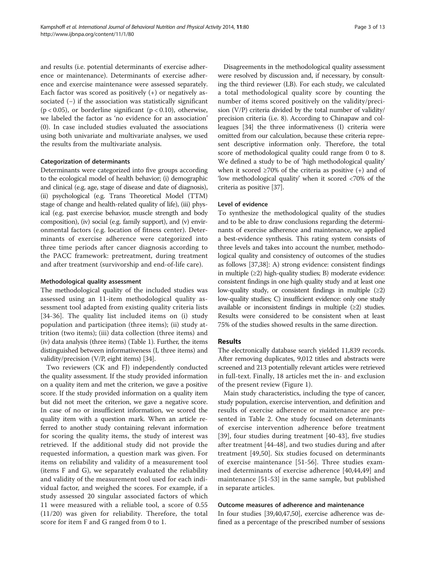and results (i.e. potential determinants of exercise adherence or maintenance). Determinants of exercise adherence and exercise maintenance were assessed separately. Each factor was scored as positively (+) or negatively associated (−) if the association was statistically significant  $(p < 0.05)$ , or borderline significant  $(p < 0.10)$ , otherwise, we labeled the factor as 'no evidence for an association' (0). In case included studies evaluated the associations using both univariate and multivariate analyses, we used the results from the multivariate analysis.

## Categorization of determinants

Determinants were categorized into five groups according to the ecological model of health behavior; (i) demographic and clinical (e.g. age, stage of disease and date of diagnosis), (ii) psychological (e.g. Trans Theoretical Model (TTM) stage of change and health-related quality of life), (iii) physical (e.g. past exercise behavior, muscle strength and body composition), (iv) social (e.g. family support), and (v) environmental factors (e.g. location of fitness center). Determinants of exercise adherence were categorized into three time periods after cancer diagnosis according to the PACC framework: pretreatment, during treatment and after treatment (survivorship and end-of-life care).

## Methodological quality assessment

The methodological quality of the included studies was assessed using an 11-item methodological quality assessment tool adapted from existing quality criteria lists [[34-](#page-11-0)[36\]](#page-12-0). The quality list included items on (i) study population and participation (three items); (ii) study attrition (two items); (iii) data collection (three items) and (iv) data analysis (three items) (Table [1](#page-3-0)). Further, the items distinguished between informativeness (I, three items) and validity/precision (V/P, eight items) [\[34\]](#page-11-0).

Two reviewers (CK and FJ) independently conducted the quality assessment. If the study provided information on a quality item and met the criterion, we gave a positive score. If the study provided information on a quality item but did not meet the criterion, we gave a negative score. In case of no or insufficient information, we scored the quality item with a question mark. When an article referred to another study containing relevant information for scoring the quality items, the study of interest was retrieved. If the additional study did not provide the requested information, a question mark was given. For items on reliability and validity of a measurement tool (items F and G), we separately evaluated the reliability and validity of the measurement tool used for each individual factor, and weighed the scores. For example, if a study assessed 20 singular associated factors of which 11 were measured with a reliable tool, a score of 0.55 (11/20) was given for reliability. Therefore, the total score for item F and G ranged from 0 to 1.

Disagreements in the methodological quality assessment were resolved by discussion and, if necessary, by consulting the third reviewer (LB). For each study, we calculated a total methodological quality score by counting the number of items scored positively on the validity/precision (V/P) criteria divided by the total number of validity/ precision criteria (i.e. 8). According to Chinapaw and colleagues [\[34\]](#page-11-0) the three informativeness (I) criteria were omitted from our calculation, because these criteria represent descriptive information only. Therefore, the total score of methodological quality could range from 0 to 8. We defined a study to be of 'high methodological quality' when it scored  $\geq 70\%$  of the criteria as positive (+) and of 'low methodological quality' when it scored <70% of the criteria as positive [[37](#page-12-0)].

## Level of evidence

To synthesize the methodological quality of the studies and to be able to draw conclusions regarding the determinants of exercise adherence and maintenance, we applied a best-evidence synthesis. This rating system consists of three levels and takes into account the number, methodological quality and consistency of outcomes of the studies as follows [[37,38](#page-12-0)]: A) strong evidence: consistent findings in multiple (≥2) high-quality studies; B) moderate evidence: consistent findings in one high quality study and at least one low-quality study, or consistent findings in multiple (≥2) low-quality studies; C) insufficient evidence: only one study available or inconsistent findings in multiple  $(≥2)$  studies. Results were considered to be consistent when at least 75% of the studies showed results in the same direction.

## Results

The electronically database search yielded 11,839 records. After removing duplicates, 9,012 titles and abstracts were screened and 213 potentially relevant articles were retrieved in full-text. Finally, 18 articles met the in- and exclusion of the present review (Figure [1\)](#page-4-0).

Main study characteristics, including the type of cancer, study population, exercise intervention, and definition and results of exercise adherence or maintenance are presented in Table [2](#page-5-0). One study focused on determinants of exercise intervention adherence before treatment [[39\]](#page-12-0), four studies during treatment [[40-43\]](#page-12-0), five studies after treatment [[44-48\]](#page-12-0), and two studies during and after treatment [[49,50\]](#page-12-0). Six studies focused on determinants of exercise maintenance [\[51](#page-12-0)-[56\]](#page-12-0). Three studies examined determinants of exercise adherence [[40,44](#page-12-0),[49\]](#page-12-0) and maintenance [\[51](#page-12-0)-[53](#page-12-0)] in the same sample, but published in separate articles.

## Outcome measures of adherence and maintenance

In four studies [\[39,40,47](#page-12-0),[50](#page-12-0)], exercise adherence was defined as a percentage of the prescribed number of sessions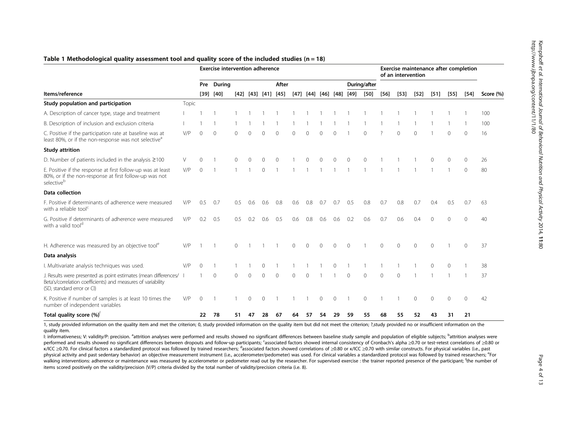| <b>Exercise intervention adherence</b>                                                                                                                        |       |          |            |     |     |     |                     |     |     |     |          |                                              |              | of an intervention | Exercise maintenance after completion |          |          |          |           |           |
|---------------------------------------------------------------------------------------------------------------------------------------------------------------|-------|----------|------------|-----|-----|-----|---------------------|-----|-----|-----|----------|----------------------------------------------|--------------|--------------------|---------------------------------------|----------|----------|----------|-----------|-----------|
|                                                                                                                                                               |       |          | Pre During |     |     |     | After               |     |     |     |          |                                              | During/after |                    |                                       |          |          |          |           |           |
| Items/reference                                                                                                                                               |       |          | [39] [40]  |     |     |     | [42] [43] [41] [45] |     |     |     |          | $[50]$<br>$[47]$ $[44]$ $[46]$ $[48]$ $[49]$ |              | [56]               | $[53]$                                | $[52]$   | $[51]$   | $[55]$   | $[54]$    | Score (%) |
| Study population and participation                                                                                                                            | Topic |          |            |     |     |     |                     |     |     |     |          |                                              |              |                    |                                       |          |          |          |           |           |
| A. Description of cancer type, stage and treatment                                                                                                            |       |          |            |     |     |     |                     |     |     |     |          |                                              |              |                    |                                       |          |          |          |           | 100       |
| B. Description of inclusion and exclusion criteria                                                                                                            |       |          |            |     |     |     |                     |     |     |     |          |                                              |              |                    |                                       |          |          |          |           | 100       |
| C. Positive if the participation rate at baseline was at<br>least 80%, or if the non-response was not selective <sup>a</sup>                                  | V/P   |          | ∩          |     |     |     |                     |     |     |     |          |                                              |              |                    |                                       | $\cap$   |          | ∩        | $\bigcap$ | 16        |
| <b>Study attrition</b>                                                                                                                                        |       |          |            |     |     |     |                     |     |     |     |          |                                              |              |                    |                                       |          |          |          |           |           |
| D. Number of patients included in the analysis $\geq$ 100                                                                                                     | V     |          |            |     |     |     |                     |     |     |     |          |                                              |              |                    |                                       |          | $\cap$   |          | $\cap$    | 26        |
| E. Positive if the response at first follow-up was at least<br>80%, or if the non-response at first follow-up was not<br>selectiveb                           | V/P   | ∩        |            |     |     |     |                     |     |     |     |          |                                              |              |                    |                                       |          |          |          | $\Omega$  | 80        |
| <b>Data collection</b>                                                                                                                                        |       |          |            |     |     |     |                     |     |     |     |          |                                              |              |                    |                                       |          |          |          |           |           |
| F. Positive if determinants of adherence were measured<br>with a reliable tool <sup>c</sup>                                                                   | V/P   | 0.5      | 0.7        | 0.5 | 0.6 | 0.6 | 0.8                 | 0.6 | 0.8 | 0.7 | 0.7      | 0.5                                          | 0.8          | 0.7                | 0.8                                   | 0.7      | 0.4      | 0.5      | 0.7       | 63        |
| G. Positive if determinants of adherence were measured<br>with a valid tool <sup>d</sup>                                                                      | V/P   | 0.2      | 0.5        | 0.5 | 02  | 0.6 | 0.5                 | 0.6 | 0.8 | 0.6 | 0.6      | 0.2                                          | 0.6          | 0.7                | 0.6                                   | 0.4      | ∩        | ∩        | $\cap$    | 40        |
| H. Adherence was measured by an objective toole                                                                                                               | V/P   |          |            | 0   |     |     |                     |     | ∩   | Λ   | ∩        | $\cap$                                       |              | ∩                  | ∩                                     | $\Omega$ | $\Omega$ |          | $\Omega$  | 37        |
| Data analysis                                                                                                                                                 |       |          |            |     |     |     |                     |     |     |     |          |                                              |              |                    |                                       |          |          |          |           |           |
| I. Multivariate analysis techniques was used.                                                                                                                 | V/P   | $\cap$   |            |     |     |     |                     |     |     |     | $\cap$   |                                              |              |                    |                                       |          | $\cap$   | $\cap$   |           | 38        |
| J. Results were presented as point estimates (mean differences/<br>Beta's/correlation coefficients) and measures of variability<br>(SD, standard error or CI) |       |          | $\Omega$   | 0   |     |     |                     |     | ∩   |     |          | $\Omega$                                     | $\Omega$     | $\Omega$           | $\Omega$                              |          |          |          |           | 37        |
| K. Positive if number of samples is at least 10 times the<br>number of independent variables                                                                  | V/P   | $\Omega$ |            |     |     |     |                     |     |     |     | $\Omega$ |                                              | $\Omega$     |                    |                                       | $\Omega$ | $\Omega$ | $\Omega$ | $\Omega$  | 42        |
| Total quality score $(\%)^{\dagger}$                                                                                                                          |       | 22       | 78         | 51  | 47  | 28  | 67                  | 64  | 57  | 54  | 29       | 59                                           | 55           | 68                 | 55                                    | 52       | 43       | 31       | 21        |           |

## <span id="page-3-0"></span>Table 1 Methodological quality assessment tool and quality score of the included studies (n  $-18$ )

1, study provided information on the quality item and met the criterion; 0, study provided information on the quality item but did not meet the criterion; ?,study provided no or insufficient information on the quality item.

I: informativeness; V: validity/P: precision. <sup>a</sup>attrition analyses were performed and results showed no significant differences between baseline study sample and population of eligible subjects; <sup>b</sup>attrition analyses were performed and results showed no significant differences between dropouts and follow‐up participants; <sup>c</sup>associated factors showed internal consistency of Cronbach's alpha ≥0.70 or test‐retest correlations of ≥0.80 or κ/ICC ≥0.70. For clinical factors a standardized protocol was followed by trained researchers; <sup>d</sup>associated factors showed correlations of ≥0.80 or κ/ICC ≥0.70 with similar constructs. For physical variables (i.e., past physical activity and past sedentary behavior) an objective measurement instrument (i.e., accelerometer/pedometer) was used. For clinical variables a standardized protocol was followed by trained researchers; eFor walking interventions: adherence or maintenance was measured by accelerometer or pedometer read out by the researcher. For supervised exercise : the trainer reported presence of the participant; <sup>f</sup>the number of items scored positively on the validity/precision (V/P) criteria divided by the total number of validity/precision criteria (i.e. 8).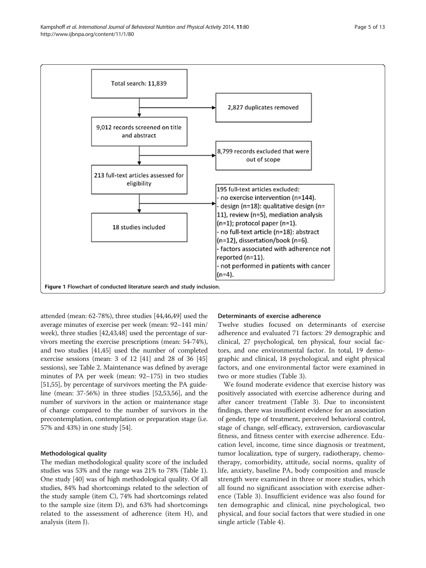<span id="page-4-0"></span>

attended (mean: 62-78%), three studies [\[44,46,49\]](#page-12-0) used the average minutes of exercise per week (mean: 92–141 min/ week), three studies [[42,43,48\]](#page-12-0) used the percentage of survivors meeting the exercise prescriptions (mean: 54-74%), and two studies [[41](#page-12-0),[45](#page-12-0)] used the number of completed exercise sessions (mean: 3 of 12 [[41](#page-12-0)] and 28 of 36 [[45](#page-12-0)] sessions), see Table [2.](#page-5-0) Maintenance was defined by average minutes of PA per week (mean: 92–175) in two studies [[51,55](#page-12-0)], by percentage of survivors meeting the PA guideline (mean: 37-56%) in three studies [\[52,53,56](#page-12-0)], and the number of survivors in the action or maintenance stage of change compared to the number of survivors in the precontemplation, contemplation or preparation stage (i.e. 57% and 43%) in one study [\[54\]](#page-12-0).

## Methodological quality

The median methodological quality score of the included studies was 53% and the range was 21% to 78% (Table [1](#page-3-0)). One study [[40](#page-12-0)] was of high methodological quality. Of all studies, 84% had shortcomings related to the selection of the study sample (item C), 74% had shortcomings related to the sample size (item D), and 63% had shortcomings related to the assessment of adherence (item H), and analysis (item J).

## Determinants of exercise adherence

Twelve studies focused on determinants of exercise adherence and evaluated 71 factors: 29 demographic and clinical, 27 psychological, ten physical, four social factors, and one environmental factor. In total, 19 demographic and clinical, 18 psychological, and eight physical factors, and one environmental factor were examined in two or more studies (Table [3](#page-7-0)).

We found moderate evidence that exercise history was positively associated with exercise adherence during and after cancer treatment (Table [3](#page-7-0)). Due to inconsistent findings, there was insufficient evidence for an association of gender, type of treatment, perceived behavioral control, stage of change, self-efficacy, extraversion, cardiovascular fitness, and fitness center with exercise adherence. Education level, income, time since diagnosis or treatment, tumor localization, type of surgery, radiotherapy, chemotherapy, comorbidity, attitude, social norms, quality of life, anxiety, baseline PA, body composition and muscle strength were examined in three or more studies, which all found no significant association with exercise adherence (Table [3](#page-7-0)). Insufficient evidence was also found for ten demographic and clinical, nine psychological, two physical, and four social factors that were studied in one single article (Table [4](#page-9-0)).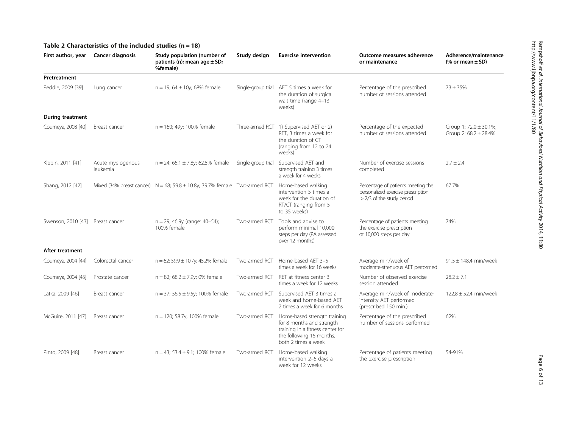| First author, year               | <b>Cancer diagnosis</b>       | Study population (number of<br>patients (n); mean age $\pm$ SD;<br>%female)       | Study design       | <b>Exercise intervention</b>                                                                                                                     | Outcome measures adherence<br>or maintenance                                                          | Adherence/maintenance<br>(% or mean $\pm$ SD)              |  |
|----------------------------------|-------------------------------|-----------------------------------------------------------------------------------|--------------------|--------------------------------------------------------------------------------------------------------------------------------------------------|-------------------------------------------------------------------------------------------------------|------------------------------------------------------------|--|
| Pretreatment                     |                               |                                                                                   |                    |                                                                                                                                                  |                                                                                                       |                                                            |  |
| Peddle, 2009 [39]                | Lung cancer                   | $n = 19$ ; 64 ± 10y; 68% female                                                   | Single-group trial | AET 5 times a week for<br>the duration of surgical<br>wait time (range 4-13<br>weeks)                                                            | Percentage of the prescribed<br>number of sessions attended                                           | $73 \pm 35%$                                               |  |
| During treatment                 |                               |                                                                                   |                    |                                                                                                                                                  |                                                                                                       |                                                            |  |
| Courneya, 2008 [40]              | Breast cancer                 | n = 160; 49y; 100% female                                                         |                    | Three-armed RCT 1) Supervised AET or 2)<br>RET, 3 times a week for<br>the duration of CT<br>(ranging from 12 to 24<br>weeks)                     | Percentage of the expected<br>number of sessions attended                                             | Group 1: $72.0 \pm 30.1\%$ ;<br>Group 2: $68.2 \pm 28.4\%$ |  |
| Klepin, 2011 [41]                | Acute myelogenous<br>leukemia | $n = 24$ ; 65.1 ± 7.8y; 62.5% female                                              | Single-group trial | Supervised AET and<br>strength training 3 times<br>a week for 4 weeks                                                                            | Number of exercise sessions<br>completed                                                              | $2.7 \pm 2.4$                                              |  |
| Shang, 2012 [42]                 |                               | Mixed (34% breast cancer) $N = 68$ ; 59.8 $\pm$ 10.8y; 39.7% female Two-armed RCT |                    | Home-based walking<br>intervention 5 times a<br>week for the duration of<br>RT/CT (ranging from 5<br>to 35 weeks)                                | Percentage of patients meeting the<br>personalized exercise prescription<br>> 2/3 of the study period | 67.7%                                                      |  |
| Swenson, 2010 [43] Breast cancer |                               | $n = 29$ ; 46.9y (range: 40-54);<br>100% female                                   | Two-armed RCT      | Tools and advise to<br>perform minimal 10,000<br>steps per day (PA assessed<br>over 12 months)                                                   | Percentage of patients meeting<br>the exercise prescription<br>of 10,000 steps per day                | 74%                                                        |  |
| After treatment                  |                               |                                                                                   |                    |                                                                                                                                                  |                                                                                                       |                                                            |  |
| Courneya, 2004 [44]              | Colorectal cancer             | $n = 62$ ; 59.9 ± 10.7y; 45.2% female                                             | Two-armed RCT      | Home-based AET 3-5<br>times a week for 16 weeks                                                                                                  | Average min/week of<br>moderate-strenuous AET performed                                               | 91.5 ± 148.4 min/week                                      |  |
| Courneya, 2004 [45]              | Prostate cancer               | $n = 82$ ; 68.2 ± 7.9y; 0% female                                                 | Two-armed RCT      | RET at fitness center 3<br>times a week for 12 weeks                                                                                             | Number of observed exercise<br>session attended                                                       | $28.2 \pm 7.1$                                             |  |
| Latka, 2009 [46]                 | Breast cancer                 | $n = 37$ ; 56.5 ± 9.5y; 100% female                                               | Two-armed RCT      | Supervised AET 3 times a<br>week and home-based AET<br>2 times a week for 6 months                                                               | Average min/week of moderate-<br>intensity AET performed<br>(prescribed 150 min.)                     | $122.8 \pm 52.4$ min/week                                  |  |
| McGuire, 2011 [47]               | Breast cancer                 | $n = 120$ ; 58.7y, 100% female                                                    | Two-armed RCT      | Home-based strength training<br>for 8 months and strength<br>training in a fitness center for<br>the following 16 months,<br>both 2 times a week | Percentage of the prescribed<br>number of sessions performed                                          | 62%                                                        |  |
| Pinto, 2009 [48]                 | Breast cancer                 | $n = 43$ ; 53.4 ± 9.1; 100% female                                                | Two-armed RCT      | Home-based walking<br>intervention 2-5 days a<br>week for 12 weeks                                                                               | Percentage of patients meeting<br>the exercise prescription                                           | 54-91%                                                     |  |

## <span id="page-5-0"></span>Table 2 Characteristics of the included studies  $(n = 18)$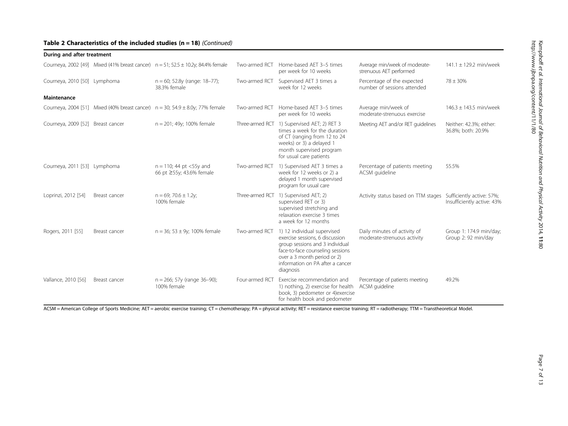## Table 2 Characteristics of the included studies  $(n = 18)$  (Continued)

| During and after treatment        |               |                                                                                      |                 |                                                                                                                                                                                                                       |                                                               |                                                |
|-----------------------------------|---------------|--------------------------------------------------------------------------------------|-----------------|-----------------------------------------------------------------------------------------------------------------------------------------------------------------------------------------------------------------------|---------------------------------------------------------------|------------------------------------------------|
|                                   |               | Courneya, 2002 [49] Mixed (41% breast cancer) n = 51; 52.5 ± 10.2y; 84.4% female     | Two-armed RCT   | Home-based AET 3-5 times<br>per week for 10 weeks                                                                                                                                                                     | Average min/week of moderate-<br>strenuous AET performed      | 141.1 ± 129.2 min/week                         |
| Courneya, 2010 [50] Lymphoma      |               | $n = 60$ ; 52.8y (range: 18-77);<br>38.3% female                                     | Two-armed RCT   | Supervised AET 3 times a<br>week for 12 weeks                                                                                                                                                                         | Percentage of the expected<br>number of sessions attended     | $78 \pm 30\%$                                  |
| Maintenance                       |               |                                                                                      |                 |                                                                                                                                                                                                                       |                                                               |                                                |
|                                   |               | Courneya, 2004 [51] Mixed (40% breast cancer) $n = 30$ ; 54.9 $\pm$ 8.0y; 77% female | Two-armed RCT   | Home-based AET 3-5 times<br>per week for 10 weeks                                                                                                                                                                     | Average min/week of<br>moderate-strenuous exercise            | 146.3 ± 143.5 min/week                         |
| Courneya, 2009 [52] Breast cancer |               | n = 201; 49y; 100% female                                                            | Three-armed RCT | 1) Supervised AET; 2) RET 3<br>times a week for the duration<br>of CT (ranging from 12 to 24<br>weeks) or 3) a delayed 1<br>month supervised program<br>for usual care patients                                       | Meeting AET and/or RET guidelines                             | Neither: 42.3%; either:<br>36.8%; both: 20.9%  |
| Courneya, 2011 [53] Lymphoma      |               | $n = 110$ ; 44 pt <55y and<br>66 pt ≥55y; 43.6% female                               | Two-armed RCT   | 1) Supervised AET 3 times a<br>week for 12 weeks or 2) a<br>delayed 1 month supervised<br>program for usual care                                                                                                      | Percentage of patients meeting<br>ACSM guideline              | 55.5%                                          |
| Loprinzi, 2012 [54]               | Breast cancer | $n = 69$ ; 70.6 $\pm$ 1.2y;<br>100% female                                           | Three-armed RCT | 1) Supervised AET; 2)<br>supervised RET or 3)<br>supervised stretching and<br>relaxation exercise 3 times<br>a week for 12 months                                                                                     | Activity status based on TTM stages Sufficiently active: 57%; | Insufficiently active: 43%                     |
| Rogers, 2011 [55]                 | Breast cancer | $n = 36$ ; 53 ± 9y; 100% female                                                      | Two-armed RCT   | 1) 12 individual supervised<br>exercise sessions, 6 discussion<br>group sessions and 3 individual<br>face-to-face counseling sessions<br>over a 3 month period or 2)<br>information on PA after a cancer<br>diagnosis | Daily minutes of activity of<br>moderate-strenuous activity   | Group 1: 174.9 min/day;<br>Group 2: 92 min/day |
| Vallance, 2010 [56]               | Breast cancer | $n = 266$ ; 57y (range 36-90);<br>100% female                                        | Four-armed RCT  | Exercise recommendation and<br>1) nothing, 2) exercise for health<br>book, 3) pedometer or 4) exercise<br>for health book and pedometer                                                                               | Percentage of patients meeting<br>ACSM guideline              | 49.2%                                          |

ACSM = American College of Sports Medicine; AET = aerobic exercise training; CT = chemotherapy; PA = physical activity; RET = resistance exercise training; RT = radiotherapy; TTM = Transtheoretical Model.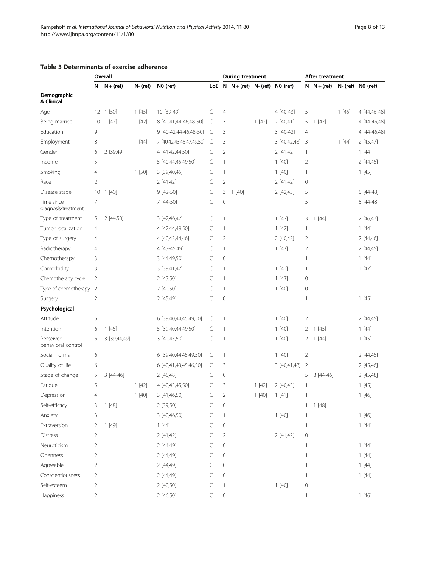## <span id="page-7-0"></span>Table 3 Determinants of exercise adherence

|                                   | <b>Overall</b> |              |          |                          |           |                     | <b>During treatment</b>     |       |              |                | After treatment |       |                   |
|-----------------------------------|----------------|--------------|----------|--------------------------|-----------|---------------------|-----------------------------|-------|--------------|----------------|-----------------|-------|-------------------|
|                                   | Ν              | $N + (ref)$  | N- (ref) | NO (ref)                 |           |                     | LoE $N N + (ref) N - (ref)$ |       | NO (ref)     |                | $N$ $N + (ref)$ |       | N- (ref) NO (ref) |
| Demographic<br>& Clinical         |                |              |          |                          |           |                     |                             |       |              |                |                 |       |                   |
| Age                               |                | 12 1 [50]    | 1[45]    | 10 [39-49]               | C         | $\overline{4}$      |                             |       | 4 [40-43]    | 5              |                 | 1[45] | 4 [44,46-48]      |
| Being married                     | 10             | 1[47]        | 1[42]    | 8 [40,41,44-46,48-50]    | C         | 3                   |                             | 1[42] | 2 [40,41]    | 5              | 1[47]           |       | 4 [44-46,48]      |
| Education                         | 9              |              |          | 9 [40-42,44-46,48-50]    | C         | 3                   |                             |       | 3 [40-42]    | $\overline{4}$ |                 |       | 4 [44-46,48]      |
| Employment                        | 8              |              | 1[44]    | 7 [40,42,43,45,47,49,50] | C         | 3                   |                             |       | 3 [40,42,43] | 3              |                 | 1[44] | 2 [45,47]         |
| Gender                            | 6              | 2 [39,49]    |          | 4 [41,42,44,50]          | C         | $\overline{2}$      |                             |       | 2 [41,42]    | $\mathbf{1}$   |                 |       | 1[44]             |
| Income                            | 5              |              |          | 5 [40,44,45,49,50]       | C         | $\mathbf{1}$        |                             |       | 1[40]        | 2              |                 |       | 2 [44,45]         |
| Smoking                           | 4              |              | 1[50]    | 3 [39,40,45]             | $\subset$ | 1                   |                             |       | 1[40]        | $\mathbf{1}$   |                 |       | 1[45]             |
| Race                              | 2              |              |          | 2 [41,42]                | C         | $\overline{2}$      |                             |       | 2 [41,42]    | $\mathbf 0$    |                 |       |                   |
| Disease stage                     | 10             | 1[40]        |          | 9 [42-50]                | C         | 3                   | 1[40]                       |       | 2 [42,43]    | 5              |                 |       | 5 [44-48]         |
| Time since<br>diagnosis/treatment | 7              |              |          | 7 [44-50]                | C         | 0                   |                             |       |              | 5              |                 |       | 5 [44-48]         |
| Type of treatment                 | 5              | 2 [44,50]    |          | 3 [42,46,47]             | C         | $\mathbf{1}$        |                             |       | 1[42]        | 3              | 1[44]           |       | 2 [46,47]         |
| Tumor localization                | 4              |              |          | 4 [42,44,49,50]          | C         | $\mathbf{1}$        |                             |       | 1[42]        | $\mathbf{1}$   |                 |       | 1[44]             |
| Type of surgery                   | 4              |              |          | 4 [40,43,44,46]          | $\subset$ | $\overline{2}$      |                             |       | 2 [40,43]    | $\overline{2}$ |                 |       | 2[44,46]          |
| Radiotherapy                      | 4              |              |          | 4 [43-45,49]             | C         | $\mathbf{1}$        |                             |       | 1[43]        | 2              |                 |       | 2 [44,45]         |
| Chemotherapy                      | 3              |              |          | 3 [44,49,50]             | C         | 0                   |                             |       |              | 1              |                 |       | 1[44]             |
| Comorbidity                       | 3              |              |          | 3 [39,41,47]             | $\subset$ | $\mathbf{1}$        |                             |       | 1[41]        | $\mathbf{1}$   |                 |       | 1[47]             |
| Chemotherapy cycle                | $\overline{2}$ |              |          | 2 [43,50]                | $\subset$ | $\mathbf{1}$        |                             |       | 1[43]        | $\mathbf 0$    |                 |       |                   |
| Type of chemotherapy              | 2              |              |          | 2 [40,50]                | C         | $\mathbf{1}$        |                             |       | 1[40]        | $\mathbf 0$    |                 |       |                   |
| Surgery                           | $\overline{2}$ |              |          | 2 [45,49]                | C         | 0                   |                             |       |              | $\mathbf{1}$   |                 |       | 1[45]             |
| Psychological                     |                |              |          |                          |           |                     |                             |       |              |                |                 |       |                   |
| Attitude                          | 6              |              |          | 6 [39,40,44,45,49,50]    | C         | $\mathbf{1}$        |                             |       | 1[40]        | $\overline{2}$ |                 |       | 2 [44,45]         |
| Intention                         | 6              | 1[45]        |          | 5 [39,40,44,49,50]       | $\subset$ | $\mathbf{1}$        |                             |       | 1[40]        | 2              | 1[45]           |       | 1[44]             |
| Perceived<br>behavioral control   | 6              | 3 [39,44,49] |          | 3 [40,45,50]             | $\subset$ | $\mathbf{1}$        |                             |       | 1[40]        | 2              | 1[44]           |       | 1[45]             |
| Social norms                      | 6              |              |          | 6 [39,40,44,45,49,50]    | C         | $\mathbf{1}$        |                             |       | 1[40]        | 2              |                 |       | 2 [44,45]         |
| Quality of life                   | 6              |              |          | 6 [40,41,43,45,46,50]    | C         | 3                   |                             |       | 3 [40,41,43] | 2              |                 |       | 2 [45,46]         |
| Stage of change                   | 5              | $3[44-46]$   |          | 2 [45,48]                | $\subset$ | 0                   |                             |       |              | 5              | 3 [44-46]       |       | 2 [45,48]         |
| Fatigue                           | 5              |              | 1[42]    | 4 [40,43,45,50]          | C         | 3                   |                             | 1[42] | 2 [40,43]    | 1              |                 |       | 1[45]             |
| Depression                        | 4              |              | 1[40]    | 3 [41,46,50]             | C         | 2                   |                             | 1[40] | 1[41]        | 1              |                 |       | 1[46]             |
| Self-efficacy                     | 3              | 1[48]        |          | 2 [39,50]                | $\subset$ | $\mathsf{O}\xspace$ |                             |       |              | 1              | 1[48]           |       |                   |
| Anxiety                           | 3              |              |          | 3 [40,46,50]             | $\subset$ | $\mathbf{1}$        |                             |       | 1[40]        | -1             |                 |       | 1[46]             |
| Extraversion                      | 2              | 1 [49]       |          | 1[44]                    | C         | $\mathbf 0$         |                             |       |              | $\mathbf{1}$   |                 |       | 1[44]             |
| Distress                          | $\overline{2}$ |              |          | 2 [41,42]                | C         | 2                   |                             |       | 2 [41,42]    | 0              |                 |       |                   |
| Neuroticism                       | $\overline{2}$ |              |          | 2 [44,49]                | $\subset$ | 0                   |                             |       |              | $\mathbf{1}$   |                 |       | 1[44]             |
| Openness                          | $\overline{2}$ |              |          | 2 [44,49]                | C         | 0                   |                             |       |              | $\mathbf{1}$   |                 |       | 1[44]             |
| Agreeable                         | $\overline{2}$ |              |          | 2 [44,49]                | $\subset$ | 0                   |                             |       |              | 1              |                 |       | 1[44]             |
| Conscientiousness                 | $\overline{2}$ |              |          | 2 [44,49]                | C         | 0                   |                             |       |              | 1              |                 |       | 1[44]             |
| Self-esteem                       | $\overline{2}$ |              |          | 2 [40,50]                | C         | $\mathbf{1}$        |                             |       | 1[40]        | 0              |                 |       |                   |
| Happiness                         | $\overline{2}$ |              |          | 2 [46,50]                | C         | $\circ$             |                             |       |              | $\mathbf{1}$   |                 |       | 1[46]             |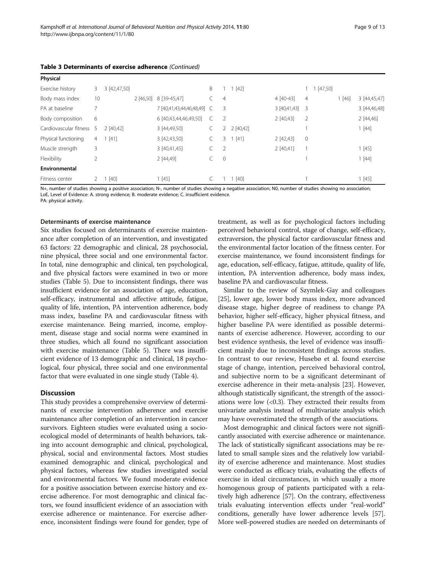| Physical               |                |              |           |                            |   |                |                         |              |                |            |        |              |
|------------------------|----------------|--------------|-----------|----------------------------|---|----------------|-------------------------|--------------|----------------|------------|--------|--------------|
| Exercise history       | 3              | 3 [42,47,50] |           |                            | B |                | $[42]$                  |              |                | 1 [47, 50] |        |              |
| Body mass index        | 10             |              | 2 [46,50] | 8 [39-45,47]               |   | $\overline{4}$ |                         | $4[40-43]$   | $\overline{4}$ |            | $[46]$ | 3 [44,45,47] |
| PA at baseline         | 7              |              |           | 7 [40,41,43,44,46,48,49] C |   | 3              |                         | 3 [40,41,43] | - 3            |            |        | 3 [44,46,48] |
| Body composition       | 6              |              |           | 6 [40,43,44,46,49,50]      |   | $\overline{z}$ |                         | 2[40,43]     | $\overline{2}$ |            |        | 2[44,46]     |
| Cardiovascular fitness | 5              | 2 [40.42]    |           | 3 [44,49,50]               |   |                | $2 \quad 2 \quad 40,42$ |              |                |            |        | 1 [44]       |
| Physical functioning   | 4              | [41]         |           | 3 [42,43,50]               |   | 3              | $[41]$                  | 2 [42, 43]   | $\mathbf{0}$   |            |        |              |
| Muscle strength        | 3              |              |           | 3 [40,41,45]               |   | -2             |                         | 2 [40,41]    |                |            |        | 1[45]        |
| Flexibility            | $\overline{2}$ |              |           | 2[44,49]                   |   | $\Omega$       |                         |              |                |            |        | 1[44]        |
| Environmental          |                |              |           |                            |   |                |                         |              |                |            |        |              |
| Fitness center         | 2              | $[40]$       |           | [45]                       |   |                | [40]                    |              |                |            |        | 1[45]        |

Table 3 Determinants of exercise adherence (Continued)

N+, number of studies showing a positive association; N-, number of studies showing a negative association; N0, number of studies showing no association; LoE, Level of Evidence: A. strong evidence; B. moderate evidence; C. insufficient evidence.

PA: physical activity.

#### Determinants of exercise maintenance

Six studies focused on determinants of exercise maintenance after completion of an intervention, and investigated 63 factors: 22 demographic and clinical, 28 psychosocial, nine physical, three social and one environmental factor. In total, nine demographic and clinical, ten psychological, and five physical factors were examined in two or more studies (Table [5](#page-10-0)). Due to inconsistent findings, there was insufficient evidence for an association of age, education, self-efficacy, instrumental and affective attitude, fatigue, quality of life, intention, PA intervention adherence, body mass index, baseline PA and cardiovascular fitness with exercise maintenance. Being married, income, employment, disease stage and social norms were examined in three studies, which all found no significant association with exercise maintenance (Table [5\)](#page-10-0). There was insufficient evidence of 13 demographic and clinical, 18 psychological, four physical, three social and one environmental factor that were evaluated in one single study (Table [4](#page-9-0)).

## **Discussion**

This study provides a comprehensive overview of determinants of exercise intervention adherence and exercise maintenance after completion of an intervention in cancer survivors. Eighteen studies were evaluated using a socioecological model of determinants of health behaviors, taking into account demographic and clinical, psychological, physical, social and environmental factors. Most studies examined demographic and clinical, psychological and physical factors, whereas few studies investigated social and environmental factors. We found moderate evidence for a positive association between exercise history and exercise adherence. For most demographic and clinical factors, we found insufficient evidence of an association with exercise adherence or maintenance. For exercise adherence, inconsistent findings were found for gender, type of treatment, as well as for psychological factors including perceived behavioral control, stage of change, self-efficacy, extraversion, the physical factor cardiovascular fitness and the environmental factor location of the fitness center. For exercise maintenance, we found inconsistent findings for age, education, self-efficacy, fatigue, attitude, quality of life, intention, PA intervention adherence, body mass index, baseline PA and cardiovascular fitness.

Similar to the review of Szymlek-Gay and colleagues [[25\]](#page-11-0), lower age, lower body mass index, more advanced disease stage, higher degree of readiness to change PA behavior, higher self-efficacy, higher physical fitness, and higher baseline PA were identified as possible determinants of exercise adherence. However, according to our best evidence synthesis, the level of evidence was insufficient mainly due to inconsistent findings across studies. In contrast to our review, Husebø et al. found exercise stage of change, intention, perceived behavioral control, and subjective norm to be a significant determinant of exercise adherence in their meta-analysis [[23\]](#page-11-0). However, although statistically significant, the strength of the associations were low  $( $0.3$ ). They extracted their results from$ univariate analysis instead of multivariate analysis which may have overestimated the strength of the associations.

Most demographic and clinical factors were not significantly associated with exercise adherence or maintenance. The lack of statistically significant associations may be related to small sample sizes and the relatively low variability of exercise adherence and maintenance. Most studies were conducted as efficacy trials, evaluating the effects of exercise in ideal circumstances, in which usually a more homogenous group of patients participated with a relatively high adherence [\[57\]](#page-12-0). On the contrary, effectiveness trials evaluating intervention effects under "real-world" conditions, generally have lower adherence levels [[57](#page-12-0)]. More well-powered studies are needed on determinants of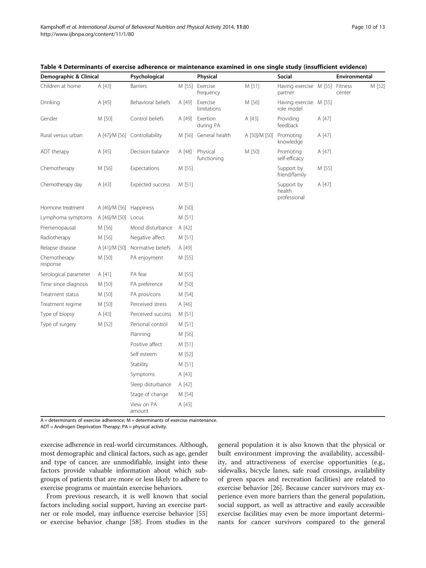| Demographic & Clinical   |                         | Psychological           |        | Physical                |               | Social                               |        | Environmental     |        |  |
|--------------------------|-------------------------|-------------------------|--------|-------------------------|---------------|--------------------------------------|--------|-------------------|--------|--|
| Children at home         | A [43]                  | <b>Barriers</b>         | M [55] | Exercise<br>frequency   | M [51]        | Having exercise M [55]<br>partner    |        | Fitness<br>center | M [52] |  |
| Drinking                 | A [45]                  | Behavioral beliefs      | A [49] | Exercise<br>limitations | M [56]        | Having exercise M [55]<br>role model |        |                   |        |  |
| Gender                   | M [50]                  | Control beliefs         | A [49] | Exertion<br>during PA   | A [43]        | Providing<br>feedback                | A [47] |                   |        |  |
| Rural versus urban       | A [47]/M [56]           | Controllability         |        | M [56] General health   | A [50]/M [50] | Promoting<br>knowledge               | A [47] |                   |        |  |
| ADT therapy              | A [45]                  | Decision balance        | A [48] | Physical<br>functioning | M [50]        | Promoting<br>self-efficacy           | A [47] |                   |        |  |
| Chemotherapy             | M [56]                  | Expectations            | M [55] |                         |               | Support by<br>friend/family          | M [55] |                   |        |  |
| Chemotherapy day         | A [43]                  | <b>Expected success</b> | M [51] |                         |               | Support by<br>health<br>professional | A [47] |                   |        |  |
| Hormone treatment        | A [46]/M [56] Happiness |                         | M [50] |                         |               |                                      |        |                   |        |  |
| Lymphoma symptoms        | A [46]/M [50]           | Locus                   | M [51] |                         |               |                                      |        |                   |        |  |
| Premenopausal            | M [56]                  | Mood disturbance        | A [42] |                         |               |                                      |        |                   |        |  |
| Radiotherapy             | M [56]                  | Negative affect         | M [51] |                         |               |                                      |        |                   |        |  |
| Relapse disease          | A [41]/M [50]           | Normative beliefs       | A [49] |                         |               |                                      |        |                   |        |  |
| Chemotherapy<br>response | M [50]                  | PA enjoyment            | M [55] |                         |               |                                      |        |                   |        |  |
| Serological parameter    | A [41]                  | PA fear                 | M [55] |                         |               |                                      |        |                   |        |  |
| Time since diagnosis     | M [50]                  | PA preference           | M [50] |                         |               |                                      |        |                   |        |  |
| Treatment status         | M [50]                  | PA pros/cons            | M [54] |                         |               |                                      |        |                   |        |  |
| Treatment regime         | M [50]                  | Perceived stress        | A [46] |                         |               |                                      |        |                   |        |  |
| Type of biopsy           | A [43]                  | Perceived success       | M [51] |                         |               |                                      |        |                   |        |  |
| Type of surgery          | M [52]                  | Personal control        | M [51] |                         |               |                                      |        |                   |        |  |
|                          |                         | Planning                | M [56] |                         |               |                                      |        |                   |        |  |
|                          |                         | Positive affect         | M [51] |                         |               |                                      |        |                   |        |  |
|                          |                         | Self esteem             | M [52] |                         |               |                                      |        |                   |        |  |
|                          |                         | Stability               | M [51] |                         |               |                                      |        |                   |        |  |
|                          |                         | Symptoms                | A [43] |                         |               |                                      |        |                   |        |  |
|                          |                         | Sleep disturbance       | A [42] |                         |               |                                      |        |                   |        |  |
|                          |                         | Stage of change         | M [54] |                         |               |                                      |        |                   |        |  |
|                          |                         | View on PA<br>amount    | A [43] |                         |               |                                      |        |                   |        |  |

## <span id="page-9-0"></span>Table 4 Determinants of exercise adherence or maintenance examined in one single study (insufficient evidence)

 $A =$  determinants of exercise adherence;  $M =$  determinants of exercise maintenance.

ADT = Androgen Deprivation Therapy; PA = physical activity.

exercise adherence in real-world circumstances. Although, most demographic and clinical factors, such as age, gender and type of cancer, are unmodifiable, insight into these factors provide valuable information about which subgroups of patients that are more or less likely to adhere to exercise programs or maintain exercise behaviors.

From previous research, it is well known that social factors including social support, having an exercise partner or role model, may influence exercise behavior [[55](#page-12-0)] or exercise behavior change [\[58](#page-12-0)]. From studies in the

general population it is also known that the physical or built environment improving the availability, accessibility, and attractiveness of exercise opportunities (e.g., sidewalks, bicycle lanes, safe road crossings, availability of green spaces and recreation facilities) are related to exercise behavior [\[26](#page-11-0)]. Because cancer survivors may experience even more barriers than the general population, social support, as well as attractive and easily accessible exercise facilities may even be more important determinants for cancer survivors compared to the general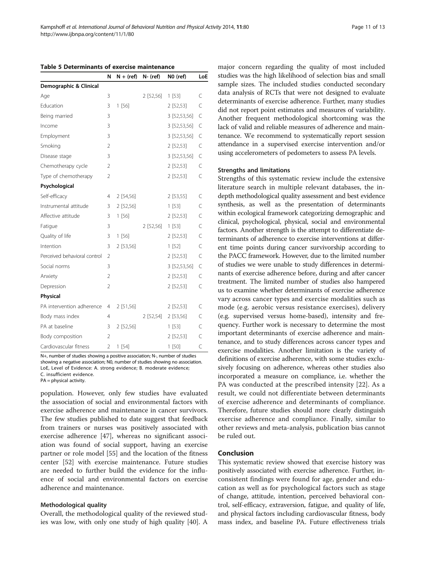<span id="page-10-0"></span>

| Table 5 Determinants of exercise maintenance |  |
|----------------------------------------------|--|
|----------------------------------------------|--|

|                              | N              | $N + (ref)$ | $N - (ref)$ | NO (ref)     | LoE          |
|------------------------------|----------------|-------------|-------------|--------------|--------------|
| Demographic & Clinical       |                |             |             |              |              |
| Age                          | 3              |             | 2 [52,56]   | 1[53]        | C            |
| Education                    | 3              | 1[56]       |             | 2[52,53]     | C            |
| Being married                | 3              |             |             | 3 [52,53,56] | $\mathsf{C}$ |
| Income                       | 3              |             |             | 3 [52,53,56] | C            |
| Employment                   | 3              |             |             | 3 [52,53,56] | C            |
| Smoking                      | 2              |             |             | 2 [52,53]    | $\subset$    |
| Disease stage                | 3              |             |             | 3 [52,53,56] | C            |
| Chemotherapy cycle           | $\overline{2}$ |             |             | 2[52,53]     | C            |
| Type of chemotherapy         | $\overline{2}$ |             |             | 2 [52,53]    | $\subset$    |
| Psychological                |                |             |             |              |              |
| Self-efficacy                | 4              | 2 [54,56]   |             | 2[53,55]     | C            |
| Instrumental attitude        | 3              | 2 [52,56]   |             | 1[53]        | C            |
| Affective attitude           | 3              | 1[56]       |             | 2[52,53]     | C            |
| Fatigue                      | 3              |             | 2 [52,56]   | 1[53]        | C            |
| Quality of life              | 3              | 1[56]       |             | 2 [52,53]    | $\mathsf{C}$ |
| Intention                    | 3              | 2 [53,56]   |             | 1[52]        | $\mathsf{C}$ |
| Perceived behavioral control | 2              |             |             | 2[52,53]     | C            |
| Social norms                 | 3              |             |             | 3 [52,53,56] | C            |
| Anxiety                      | $\overline{2}$ |             |             | 2[52,53]     | C            |
| Depression                   | $\overline{2}$ |             |             | 2[52,53]     | $\mathsf{C}$ |
| Physical                     |                |             |             |              |              |
| PA intervention adherence    | 4              | 2 [51,56]   |             | 2 [52,53]    | C            |
| Body mass index              | 4              |             | 2[52,54]    | 2 [53,56]    | C            |
| PA at baseline               | 3              | 2 [52,56]   |             | 1[53]        | C            |
| Body composition             | 2              |             |             | 2[52,53]     | $\mathsf{C}$ |
| Cardiovascular fitness       | 2              | 1[54]       |             | 1[50]        | $\subset$    |

N+, number of studies showing a positive association; N-, number of studies showing a negative association; N0, number of studies showing no association. LoE, Level of Evidence: A. strong evidence; B. moderate evidence; C. insufficient evidence.

PA = physical activity.

population. However, only few studies have evaluated the association of social and environmental factors with exercise adherence and maintenance in cancer survivors. The few studies published to date suggest that feedback from trainers or nurses was positively associated with exercise adherence [\[47](#page-12-0)], whereas no significant association was found of social support, having an exercise partner or role model [[55\]](#page-12-0) and the location of the fitness center [[52\]](#page-12-0) with exercise maintenance. Future studies are needed to further build the evidence for the influence of social and environmental factors on exercise adherence and maintenance.

## Methodological quality

Overall, the methodological quality of the reviewed studies was low, with only one study of high quality [[40\]](#page-12-0). A

major concern regarding the quality of most included studies was the high likelihood of selection bias and small sample sizes. The included studies conducted secondary data analysis of RCTs that were not designed to evaluate determinants of exercise adherence. Further, many studies did not report point estimates and measures of variability. Another frequent methodological shortcoming was the lack of valid and reliable measures of adherence and maintenance. We recommend to systematically report session attendance in a supervised exercise intervention and/or using accelerometers of pedometers to assess PA levels.

#### Strengths and limitations

Strengths of this systematic review include the extensive literature search in multiple relevant databases, the indepth methodological quality assessment and best evidence synthesis, as well as the presentation of determinants within ecological framework categorizing demographic and clinical, psychological, physical, social and environmental factors. Another strength is the attempt to differentiate determinants of adherence to exercise interventions at different time points during cancer survivorship according to the PACC framework. However, due to the limited number of studies we were unable to study differences in determinants of exercise adherence before, during and after cancer treatment. The limited number of studies also hampered us to examine whether determinants of exercise adherence vary across cancer types and exercise modalities such as mode (e.g. aerobic versus resistance exercises), delivery (e.g. supervised versus home-based), intensity and frequency. Further work is necessary to determine the most important determinants of exercise adherence and maintenance, and to study differences across cancer types and exercise modalities. Another limitation is the variety of definitions of exercise adherence, with some studies exclusively focusing on adherence, whereas other studies also incorporated a measure on compliance, i.e. whether the PA was conducted at the prescribed intensity [\[22](#page-11-0)]. As a result, we could not differentiate between determinants of exercise adherence and determinants of compliance. Therefore, future studies should more clearly distinguish exercise adherence and compliance. Finally, similar to other reviews and meta-analysis, publication bias cannot be ruled out.

## Conclusion

This systematic review showed that exercise history was positively associated with exercise adherence. Further, inconsistent findings were found for age, gender and education as well as for psychological factors such as stage of change, attitude, intention, perceived behavioral control, self-efficacy, extraversion, fatigue, and quality of life, and physical factors including cardiovascular fitness, body mass index, and baseline PA. Future effectiveness trials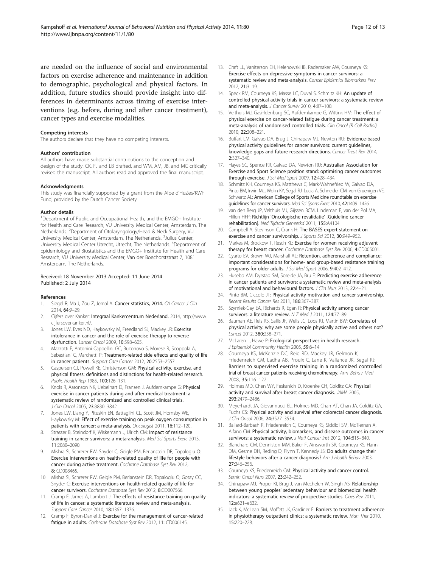<span id="page-11-0"></span>are needed on the influence of social and environmental factors on exercise adherence and maintenance in addition to demographic, psychological and physical factors. In addition, future studies should provide insight into differences in determinants across timing of exercise interventions (e.g. before, during and after cancer treatment), cancer types and exercise modalities.

#### Competing interests

The authors declare that they have no competing interests.

#### Authors' contribution

All authors have made substantial contributions to the conception and design of the study. CK, FJ and LB drafted, and WM, AM, JB, and MC critically revised the manuscript. All authors read and approved the final manuscript.

#### Acknowledgments

This study was financially supported by a grant from the Alpe d'HuZes/KWF Fund, provided by the Dutch Cancer Society.

#### Author details

<sup>1</sup>Department of Public and Occupational Health, and the EMGO+ Institute for Health and Care Research, VU University Medical Center, Amsterdam, The Netherlands. <sup>2</sup>Department of Otolaryngology/Head & Neck Surgery, VU University Medical Center, Amsterdam, The Netherlands. <sup>3</sup>Julius Center, University Medical Center Utrecht, Utrecht, The Netherlands. <sup>4</sup>Department of Epidemiology and Biostatistics and the EMGO+ Institute for Health and Care Research, VU University Medical Center, Van der Boechorststraat 7, 1081 Amsterdam, The Netherlands.

#### Received: 18 November 2013 Accepted: 11 June 2014 Published: 2 July 2014

#### References

- 1. Siegel R, Ma J, Zou Z, Jemal A: Cancer statistics, 2014. CA Cancer J Clin 2014, 64:9–29.
- Cijfers over Kanker: Integraal Kankercentrum Nederland. 2014, [http://www.](http://www.cijfersoverkanker.nl/) [cijfersoverkanker.nl/.](http://www.cijfersoverkanker.nl/)
- Jones LW, Eves ND, Haykowsky M, Freedland SJ, Mackey JR: Exercise intolerance in cancer and the role of exercise therapy to reverse dysfunction. Lancet Oncol 2009, 10:598–605.
- 4. Mazzotti E, Antonini Cappellini GC, Buconovo S, Morese R, Scoppola A, Sebastiani C, Marchetti P: Treatment-related side effects and quality of life in cancer patients. Support Care Cancer 2012, 20:2553–2557.
- 5. Caspersen CJ, Powell KE, Christenson GM: Physical activity, exercise, and physical fitness: definitions and distinctions for health-related research. Public Health Rep 1985, 100:126–131.
- 6. Knols R, Aaronson NK, Uebelhart D, Fransen J, Aufdemkampe G: Physical exercise in cancer patients during and after medical treatment: a systematic review of randomized and controlled clinical trials. J Clin Oncol 2005, 23:3830–3842.
- 7. Jones LW, Liang Y, Pituskin EN, Battaglini CL, Scott JM, Hornsby WE, Haykowsky M: Effect of exercise training on peak oxygen consumption in patients with cancer: a meta-analysis. Oncologist 2011, 16:112-120.
- 8. Strasser B, Steindorf K, Wiskemann J, Ulrich CM: Impact of resistance training in cancer survivors: a meta-analysis. Med Sci Sports Exerc 2013, 11:2080–2090.
- 9. Mishra SI, Schrerer RW, Snyder C, Geigle PM, Berlanstein DR, Topaloglu O: Exercise interventions on health-related quality of life for people with cancer during active treatment. Cochrane Database Syst Rev 2012, 8: CD008465.
- 10. Mishra SI, Schrerer RW, Geigle PM, Berlanstein DR, Topaloglu O, Gotay CC, Snyder C: Exercise interventions on health-related quality of life for cancer survivors. Cochrane Database Syst Rev 2012, 8:CD007566.
- 11. Cramp F, James A, Lambert J: The effects of resistance training on quality of life in cancer: a systematic literature review and meta-analysis. Support Care Cancer 2010, 18:1367–1376.
- 12. Cramp F, Byron-Daniel J: Exercise for the management of cancer-related fatigue in adults. Cochrane Database Syst Rev 2012, 11: CD006145.
- 13. Craft LL, Vaniterson EH, Helenowski IB, Rademaker AW, Courneya KS: Exercise effects on depressive symptoms in cancer survivors: a systematic review and meta-analysis. Cancer Epidemiol Biomarkers Prev 2012, 21:3–19.
- 14. Speck RM, Courneya KS, Masse LC, Duval S, Schmitz KH: An update of controlled physical activity trials in cancer survivors: a systematic review and meta-analysis. J Cancer Surviv 2010, 4:87–100.
- 15. Velthuis MJ, Gasi-Idenburg SC, Aufdemkampe G, Wittink HM: The effect of physical exercise on cancer-related fatigue during cancer treatment: a meta-analysis of randomised controlled trials. Clin Oncol (R Coll Radiol) 2010, 22:208–221.
- 16. Buffart LM, Galvao DA, Brug J, Chinapaw MJ, Newton RU: Evidence-based physical activity guidelines for cancer survivors: current guidelines, knowledge gaps and future research directions. Cancer Treat Rev 2014, 2:327–340.
- 17. Hayes SC, Spence RR, Galvao DA, Newton RU: Australian Association for Exercise and Sport Science position stand: optimising cancer outcomes through exercise. J Sci Med Sport 2009, 12:428-434.
- 18. Schmitz KH, Courneya KS, Matthews C, Mark-Wahnefried W, Galvao DA, Pinto BM, Irwin ML, Wolin KY, Segal RJ, Lucia A, Schneider CM, von Gruenigen VE, Schwartz AL: American College of Sports Medicine roundtable on exercise guidelines for cancer survivors. Med Sci Sports Exerc 2010, 42:1409–1426.
- 19. van den Berg JP, Velthuis MJ, Gijssen BCM, Lindeman E, van der Pol MA, Hillen HFP: Richtlijn 'Oncologische revalidatie' [Guideline cancer rehabilitation]. Ned Tijdschr Geneeskd 2011, 155:A4104.
- 20. Campbell A, Stevinson C, Crank H: The BASES expert statement on exercise and cancer survivorship. J Sports Sci 2012, 30:949-952.
- 21. Markes M, Brockow T, Resch KL: Exercise for women receiving adjuvant therapy for breast cancer. Cochrane Database Syst Rev 2006, 4:CD005001.
- 22. Cyarto EV, Brown WJ, Marshall AL: Retention, adherence and compliance: important considerations for home- and group-based resistance training programs for older adults. J Sci Med Sport 2006, 9:402-412.
- 23. Husebo AM, Dyrstad SM, Soreide JA, Bru E: Predicting exercise adherence in cancer patients and survivors: a systematic review and meta-analysis of motivational and behavioural factors. J Clin Nurs 2013, 22:4–21.
- 24. Pinto BM, Ciccolo JT: Physical activity motivation and cancer survivorship. Recent Results Cancer Res 2011, 186:367–387.
- 25. Szymlek-Gay EA, Richards R, Egan R: Physical activity among cancer survivors: a literature review. N Z Med J 2011, 124:77-89.
- 26. Bauman AE, Reis RS, Sallis JF, Wells JC, Loos RJ, Martin BW: Correlates of physical activity: why are some people physically active and others not? Lancet 2012, 380:258–271.
- 27. McLaren L, Hawe P: Ecological perspectives in health research. J Epidemiol Community Health 2005, 59:6–14.
- 28. Courneya KS, McKenzie DC, Reid RD, Mackey JR, Gelmon K, Friedenreich CM, Ladha AB, Proulx C, Lane K, Vallance JK, Segal RJ: Barriers to supervised exercise training in a randomized controlled trial of breast cancer patients receiving chemotherapy. Ann Behav Med 2008, 35:116–122.
- 29. Holmes MD, Chen WY, Feskanich D, Kroenke CH, Colditz GA: Physical activity and survival after breast cancer diagnosis. JAMA 2005, 293:2479–2486.
- 30. Meyerhardt JA, Giovannucci EL, Holmes MD, Chan AT, Chan JA, Colditz GA, Fuchs CS: Physical activity and survival after colorectal cancer diagnosis. J Clin Oncol 2006, 24:3527–3534.
- 31. Ballard-Barbash R, Friedenreich C, Courneya KS, Siddiqi SM, McTiernan A, Alfano CM: Physical activity, biomarkers, and disease outcomes in cancer survivors: a systematic review. *J Natl Cancer Inst* 2012, 104:815-840.
- 32. Blanchard CM, Denniston MM, Baker F, Ainsworth SR, Courneya KS, Hann DM, Gesme DH, Reding D, Flynn T, Kennedy JS: Do adults change their lifestyle behaviors after a cancer diagnosis? Am J Health Behav 2003, 27:246–256.
- 33. Courneya KS, Friedenreich CM: Physical activity and cancer control. Semin Oncol Nurs 2007, 23:242-252.
- 34. Chinapaw MJ, Proper KI, Brug J, van Mechelen W, Singh AS: Relationship between young peoples' sedentary behaviour and biomedical health indicators: a systematic review of prospective studies. Obes Rev 2011, 12:e621–e632.
- 35. Jack K, McLean SM, Moffett JK, Gardiner E: Barriers to treatment adherence in physiotherapy outpatient clinics: a systematic review. Man Ther 2010, 15:220–228.